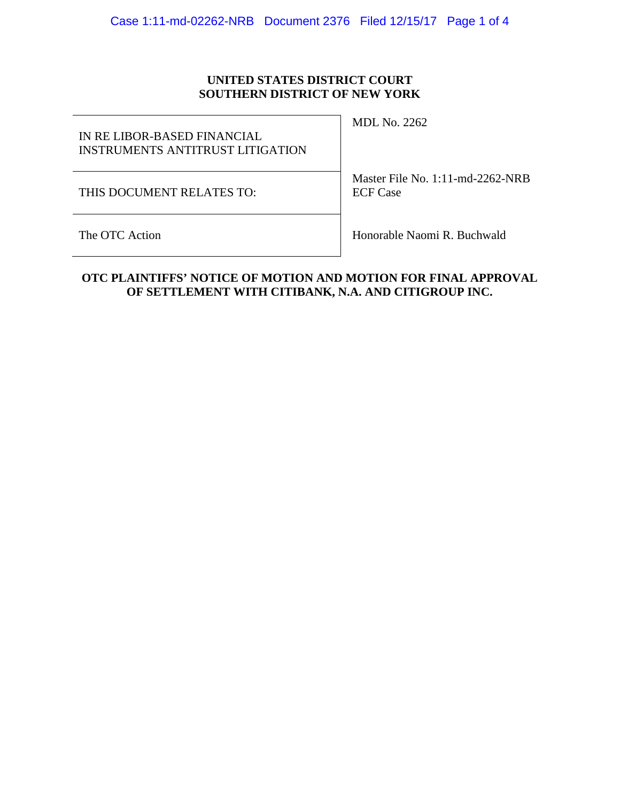## **UNITED STATES DISTRICT COURT SOUTHERN DISTRICT OF NEW YORK**

IN RE LIBOR-BASED FINANCIAL INSTRUMENTS ANTITRUST LITIGATION

THIS DOCUMENT RELATES TO:

MDL No. 2262

Master File No. 1:11-md-2262-NRB ECF Case

The OTC Action **Honorable Naomi R. Buchwald** 

## **OTC PLAINTIFFS' NOTICE OF MOTION AND MOTION FOR FINAL APPROVAL OF SETTLEMENT WITH CITIBANK, N.A. AND CITIGROUP INC.**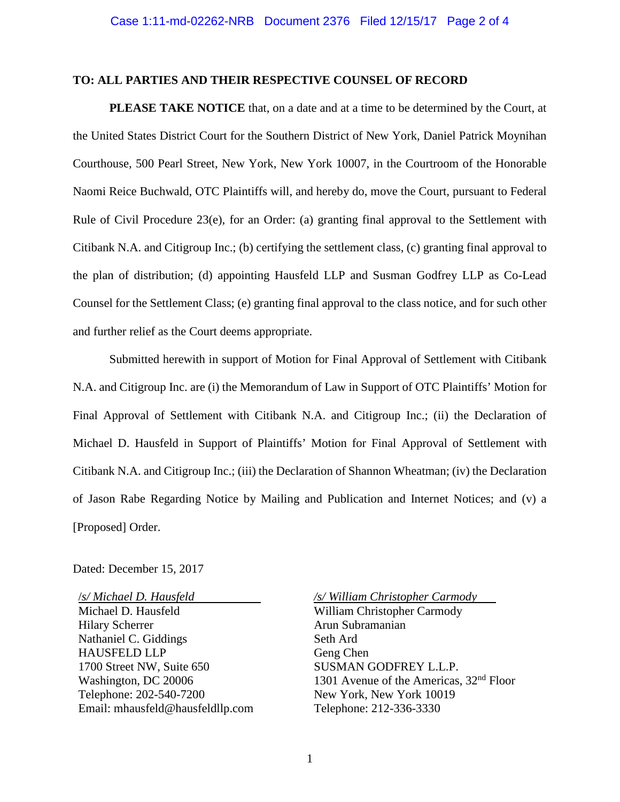### **TO: ALL PARTIES AND THEIR RESPECTIVE COUNSEL OF RECORD**

**PLEASE TAKE NOTICE** that, on a date and at a time to be determined by the Court, at the United States District Court for the Southern District of New York, Daniel Patrick Moynihan Courthouse, 500 Pearl Street, New York, New York 10007, in the Courtroom of the Honorable Naomi Reice Buchwald, OTC Plaintiffs will, and hereby do, move the Court, pursuant to Federal Rule of Civil Procedure 23(e), for an Order: (a) granting final approval to the Settlement with Citibank N.A. and Citigroup Inc.; (b) certifying the settlement class, (c) granting final approval to the plan of distribution; (d) appointing Hausfeld LLP and Susman Godfrey LLP as Co-Lead Counsel for the Settlement Class; (e) granting final approval to the class notice, and for such other and further relief as the Court deems appropriate.

Submitted herewith in support of Motion for Final Approval of Settlement with Citibank N.A. and Citigroup Inc. are (i) the Memorandum of Law in Support of OTC Plaintiffs' Motion for Final Approval of Settlement with Citibank N.A. and Citigroup Inc.; (ii) the Declaration of Michael D. Hausfeld in Support of Plaintiffs' Motion for Final Approval of Settlement with Citibank N.A. and Citigroup Inc.; (iii) the Declaration of Shannon Wheatman; (iv) the Declaration of Jason Rabe Regarding Notice by Mailing and Publication and Internet Notices; and (v) a [Proposed] Order.

#### Dated: December 15, 2017

/*s/ Michael D. Hausfeld* Michael D. Hausfeld Hilary Scherrer Nathaniel C. Giddings HAUSFELD LLP 1700 Street NW, Suite 650 Washington, DC 20006 Telephone: 202-540-7200 Email: mhausfeld@hausfeldllp.com */s/ William Christopher Carmody*

William Christopher Carmody Arun Subramanian Seth Ard Geng Chen SUSMAN GODFREY L.L.P. 1301 Avenue of the Americas, 32nd Floor New York, New York 10019 Telephone: 212-336-3330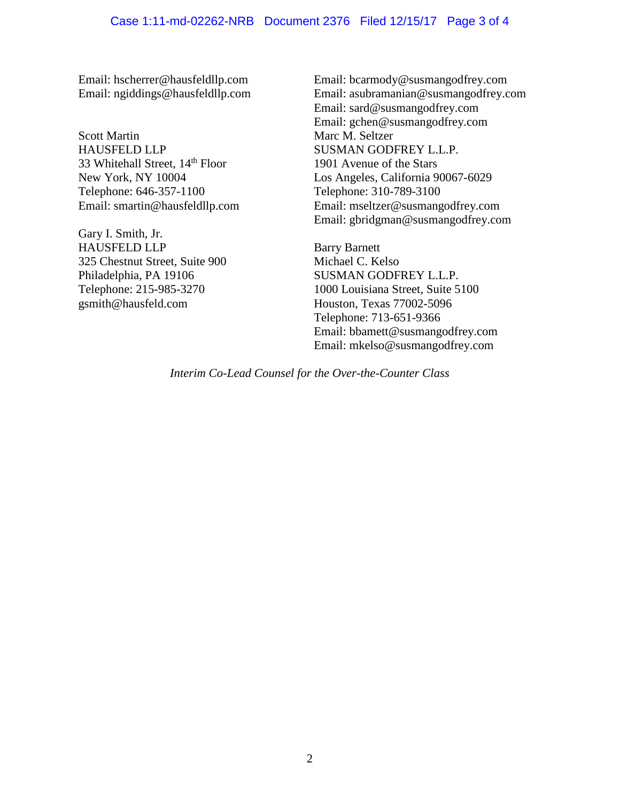Email: hscherrer@hausfeldllp.com Email: ngiddings@hausfeldllp.com

Scott Martin HAUSFELD LLP 33 Whitehall Street, 14<sup>th</sup> Floor New York, NY 10004 Telephone: 646-357-1100 Email: smartin@hausfeldllp.com

Gary I. Smith, Jr. HAUSFELD LLP 325 Chestnut Street, Suite 900 Philadelphia, PA 19106 Telephone: 215-985-3270 gsmith@hausfeld.com

Email: bcarmody@susmangodfrey.com Email: asubramanian@susmangodfrey.com Email: sard@susmangodfrey.com Email: gchen@susmangodfrey.com Marc M. Seltzer SUSMAN GODFREY L.L.P. 1901 Avenue of the Stars Los Angeles, California 90067-6029 Telephone: 310-789-3100 Email: mseltzer@susmangodfrey.com Email: gbridgman@susmangodfrey.com

Barry Barnett Michael C. Kelso SUSMAN GODFREY L.L.P. 1000 Louisiana Street, Suite 5100 Houston, Texas 77002-5096 Telephone: 713-651-9366 Email: bbamett@susmangodfrey.com Email: mkelso@susmangodfrey.com

*Interim Co-Lead Counsel for the Over-the-Counter Class*